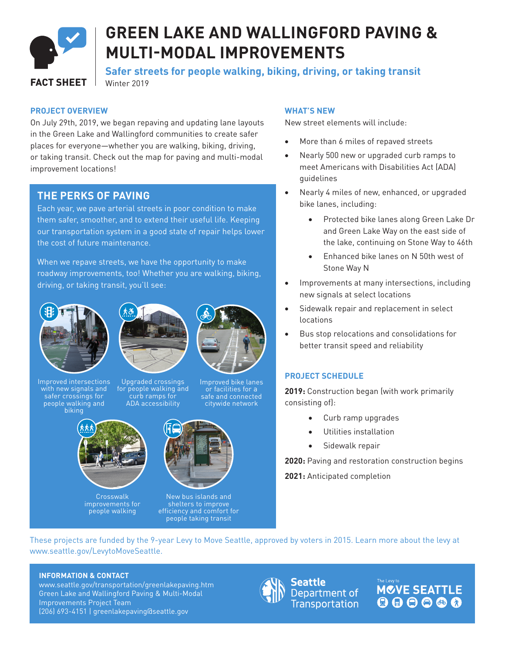

# **GREEN LAKE AND WALLINGFORD PAVING & MULTI-MODAL IMPROVEMENTS**

**Safer streets for people walking, biking, driving, or taking transit**

Winter 2019

#### **PROJECT OVERVIEW**

On July 29th, 2019, we began repaving and updating lane layouts in the Green Lake and Wallingford communities to create safer places for everyone—whether you are walking, biking, driving, or taking transit. Check out the map for paving and multi-modal improvement locations!

### **THE PERKS OF PAVING**

Each year, we pave arterial streets in poor condition to make them safer, smoother, and to extend their useful life. Keeping our transportation system in a good state of repair helps lower the cost of future maintenance.

When we repave streets, we have the opportunity to make roadway improvements, too! Whether you are walking, biking, driving, or taking transit, you'll see:



Improved intersections with new signals and safer crossings for people walking and biking





Upgraded crossings for people walking and curb ramps for ADA accessibility



**Crosswalk** improvements for people walking

#### Improved bike lanes or facilities for a safe and connected citywide network



New bus islands and shelters to improve efficiency and comfort for people taking transit

#### **WHAT'S NEW**

New street elements will include:

- More than 6 miles of repaved streets
- Nearly 500 new or upgraded curb ramps to meet Americans with Disabilities Act (ADA) guidelines
- Nearly 4 miles of new, enhanced, or upgraded bike lanes, including:
	- Protected bike lanes along Green Lake Dr and Green Lake Way on the east side of the lake, continuing on Stone Way to 46th
	- Enhanced bike lanes on N 50th west of Stone Way N
- • Improvements at many intersections, including new signals at select locations
- Sidewalk repair and replacement in select locations
- • Bus stop relocations and consolidations for better transit speed and reliability

#### **PROJECT SCHEDULE**

**2019:** Construction began (with work primarily consisting of):

- Curb ramp upgrades
- • Utilities installation
- Sidewalk repair

**2020:** Paving and restoration construction begins

**2021:** Anticipated completion

These projects are funded by the 9-year Levy to Move Seattle, approved by voters in 2015. Learn more about the levy at www.seattle.gov/LevytoMoveSeattle.

#### **INFORMATION & CONTACT**

www.seattle.gov/transportation/greenlakepaving.htm Green Lake and Wallingford Paving & Multi-Modal Improvements Project Team (206) 693-4151 | greenlakepaving@seattle.gov



Seattle Department of Transportation **MCVE SEATTLE** 000000